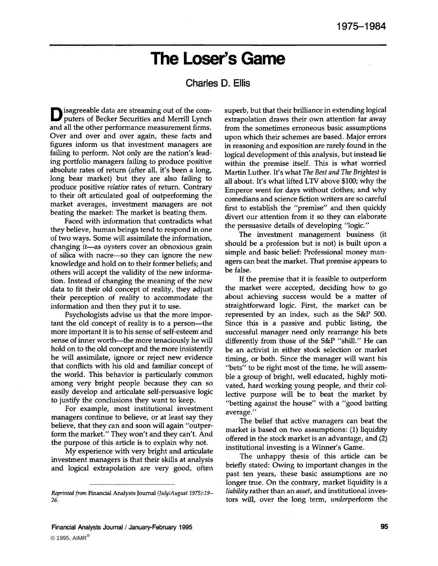## **The Loser's Game**

## **Charles D. Ellis**

isagreeable data are streaming out of the com-<br>puters of Becker Securities and Merrill Lynch and all the other performance measurement firms. Over and over and over again, these facts and figures inform us that investment managers **are**  failing to perform. Not only are the nation's leading portfolio managers falling to produce positive absolute rates of return (after all, it's been a long, long bear market) but they are also failing to produce positive *relative* rates of return. Contrary to their oft articulated goal of outperforming the market averages, investment managers are not beating the market: The market is beating them.

Faced with information that contradicts what they believe, human beings tend to respond in one of two ways. Some will assimilate the information, changing it--as oysters cover an obnoxious grain of silica with nacre--so they can ignore the new knowledge and hold on to their former beliefs; and others will accept the validity of the new information. Instead of changing the meaning of the new data to fit their old concept of reality, they adjust their perception of reality to accommodate the information and then they put it to use.

Psychologists advise us that the more important the old concept of reality is to a person--the more important it is to his sense of self-esteem and sense of inner worth---the more tenaciously he will hold on to the old concept and the more insistently he will assimilate, ignore or reject new evidence that conflicts with his old and familiar concept of the world. This behavior is particularly common among very bright people because they can so easily develop and articulate self-persuasive logic to justify the conclusions they want to keep.

For example, most institutional investment managers continue to believe, or at least say they believe, that they can and soon will again "outperform the market." They won't and they can't. And the purpose of this article is to explain why not.

My experience with very bright and articulate investment managers is that their skills at analysis and logical extrapolation are very good, often superb, but that their brilliance in extending logical extrapolation draws their own attention far away from the sometimes erroneous basic assumptions upon which their schemes are based. Major errors in reasoning and exposition are rarely found in the logical development of this analysis, but instead lie within the premise itself. This is what worried Martin Luther. It's what *The Best and The Brightest* is **all** about. It's what lifted LTV above \$100; why the Emperor went for days without clothes; and why comedians and science fiction writers are so careful first to establish the "premise" and then quickly divert our attention from it so they can elaborate the persuasive details of developing "logic."

The investment management business (it should be a profession but is not) is built upon a simple and basic belief: Professional money managers can beat the market. That premise appears to be false.

If the premise that it is feasible to outperform the market were accepted, deciding how to go about achieving success would be a matter of straightforward logic. First, the market can be represented by an index, such as the S&P 500. Since this is a passive and public listing, the successful, manager need only rearrange his bets differently from those of the S&P "'shill." He can be an activist in either stock selection or market timing, or both. Since the manager will want his "bets" to be right most of the time, he will assemble a group of bright, well educated, highly motivated, hard working young people, and their collective purpose will be to beat the market by "betting against the house" with a "good batting average."

The belief that active managers can beat the market is based on two assumptions: (1) liquidity offered in the stock market is an advantage, and (2) institutional investing is a Winner's Game.

The unhappy thesis of this article can be briefly stated: Owing to important changes in the past ten years, these basic assumptions are no longer true. On the contrary, market liquidity is a *liability* rather than an *asset,* and institutional investors will, over the long term, *underperform* the

*Reprinted from Financial Analysts Journal (July/August 1975):19-*26.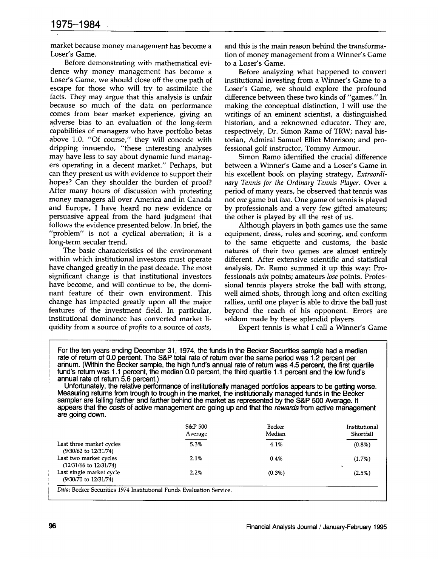market because money management has become a Loser's Game.

Before demonstrating with mathematical evidence why money management has become a Loser's Game, we should close off the one path of escape for those who will try to assimilate the facts. They may argue that this analysis is unfair because so much of the data on performance comes from bear market experience, giving an adverse bias to an evaluation of the long-term capabilities of managers who have portfolio betas above 1.0. "Of course," they will concede with dripping innuendo, "these interesting analyses may have less to say about dynamic fund managers operating in a decent market." Perhaps, but can they present us with evidence to support their hopes? Can they shoulder the burden of proof? After many hours of discussion with protesting money managers all over America and in Canada and Europe, I have heard no new evidence or persuasive appeal from the hard judgment that follows the evidence presented below. In brief, the "problem" is not a cyclical aberration; it is a long-term secular trend.

The basic characteristics of the environment within which institutional investors must operate have changed greatly in the past decade. The most significant change is that institutional investors have become, and will continue to be, the dominant feature of their own environment. This change has impacted greatly upon all the major features of the investment field. In particular, institutional dominance has converted market liquidity from a source of *profits* to a source of *costs,* 

and this is the main reason behind the transformation of money management from a Winner's Game to a Loser's Game.

Before analyzing what happened to convert institutional investing from a Winner's Game to a Loser's Game, we should explore the profound difference between these two kinds of "games." In making the conceptual distinction, I will use the writings of an eminent scientist, a distinguished historian, and a reknowned educator. They are, respectively, Dr. Simon Ramo of TRW; naval historian, Admiral Samuel Elliot Morrison; and professional golf instructor, Tommy Armour.

Simon Ramo identified the crucial difference between a Winner's Game and a Loser's Game in his excellent book on playing strategy, *Extraordinary Tennis for the Ordinary Tennis Player.* Over a period of many years, he observed that tennis was not *one* game but *two.* One game of tennis is played by professionals and a very few gifted amateurs; the other is played by all the rest of us.

Although players in both games use the same equipment, dress, rules and scoring, and conform to the same etiquette and customs, the basic natures of their two games are almost entirely different. After extensive scientific and statistical analysis, Dr. Ramo summed it up this way: Professionals *win* points; amateurs *lose* points. Professional tennis players stroke the ball with strong, well aimed shots, through long and often exciting rallies, until one player is able to drive the ball just beyond the reach of his opponent. Errors are seldom made by these splendid players.

Expert tennis is what I call a Winner's Game

For the ten years ending December 31, 1974, the funds in the Becker Securities sample had a median rate of return of 0.0 percent. The S&P total rate of return over the same period was 1.2 percent per annum. (Within the Becker sample, the high fund's annual rate of return was 4.5 percent, the first quartile fund's retum was 1.1 percent, the median 0.0 percent, the third quartile 1.1 percent and the low fund's annual rate of retum 5.6 percent.)

Unfortunately, the relative performance of institutionally managed portfolios appears to be getting worse. Measuring returns from trough to trough in the market, the institutionally managed funds in the Becker sampler are falling farther and farther behind the market as represented by the S&P 500 Average. It appears that the *costs* of active management are going up and that the *rewards* from active management are going down.

|                                                        | S&P 500<br>Average | Becker<br>Median | Institutional<br>Shortfall |
|--------------------------------------------------------|--------------------|------------------|----------------------------|
| Last three market cycles<br>$(9/30/62$ to $12/31/74$ ) | 5.3%               | 4.1%             | $(0.8\%)$                  |
| Last two market cycles<br>$(12/31/66$ to $12/31/74)$   | 2.1%               | $0.4\%$          | $(1.7\%)$<br>$\sim$        |
| Last single market cycle<br>(9/30/70 to 12/31/74)      | 2.2%               | $(0.3\%)$        | $(2.5\%)$                  |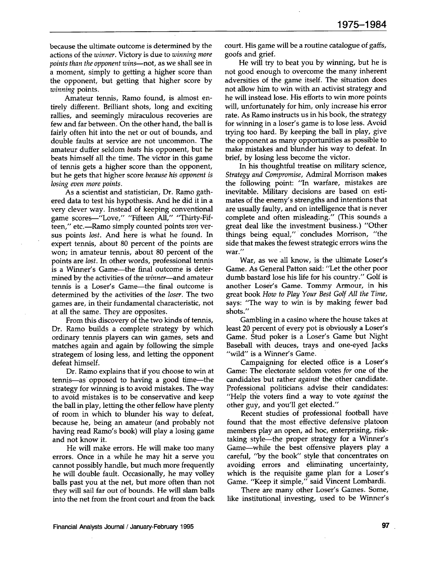because the ultimate outcome is determined by the actions of the *winner.* Victory is due to *winning more points than the opponent wins--not,* as we shall see in a moment, simply to getting a higher score than the opponent, but getting that higher score by *winning* points.

Amateur tennis, Ramo found, is almost entirely different. Brilliant shots, long and exciting rallies, and seemingly miraculous recoveries are few and far between. On the other hand, the ball is fairly often hit into the net or out of bounds, and double faults at service are not uncommon. The amateur duffer seldom *beats* his opponent, but he beats himself all the time. The victor in this game of tennis gets a higher score than the Opponent, but he gets that higher score *because his opponent is losing even more points.* 

As a scientist and statistician, Dr. Ramo gathered data to test his hypothesis. And he did it in a very clever way. Instead of keeping conventional game scores-"Love," "Fifteen All," "Thirty-Fifteen," etc.—Ramo simply counted points *won* versus points *lost.* And here is what he found. In expert tennis, about 80 percent of the points are won; in amateur tennis, about 80 percent of the points are *lost.* In other words, professional tennis is a Winner's Game—the final outcome is determined by the activities of the *winner--and* amateur tennis is a Loser's Game--the final outcome is determined by the activities of the *loser*. The two games are, in their fundamental characteristic, not at all the same. They are opposites.

From this discovery of the two kinds of tennis, Dr. Ramo builds a complete strategy by which ordinary tennis players can win games, sets and matches again and again by following the simple strategem of losing less, and letting the opponent defeat himself.

Dr. Ramo explains that if you choose to win at tennis-as opposed to having a good time-the strategy for winning is to avoid mistakes. The way to avoid mistakes is to be conservative and keep the ball in play, letting the other fellow have plenty of room in which to blunder his way to defeat, because he, being an amateur (and probably not having read Ramo's book) will play a losing game and not know it.

He will make errors. He will make too many errors. Once in a while he may hit a serve you cannot possibly handle, but much more frequently he will double fault. Occasionally, he may volley balls past you at the net, but more often than not they will sail far out of bounds. He will slam balls into the net from the front court and from the back

court. His game will be a routine catalogue of gaffs, goofs and grief.

He will try to beat you by winning, but he is not good enough to overcome the many inherent adversities of the game itself. The situation does not allow him to win with an activist strategy and he will instead lose. His efforts to win more points will, unfortunately for him, only increase his error rate. As Ramo instructs us in his book, the strategy for winning in a loser's game is to lose less. Avoid trying too hard. By keeping the ball in play, give the Opponent as many opportunities as possible to make mistakes and blunder his way to defeat. In brief, by losing less become the victor.

In his thoughtful treatise on military science, *Strategy and Compromise,* Admiral Morrison makes the following point: "In warfare, mistakes are inevitable. Military decisions are based on estimates of the enemy's strengths and intentions that are usually faulty, and on intelligence that is never complete and often misleading." (This sounds a great deal like the investment business.) "Other things being equal," concludes Morrison, "the side that makes the fewest strategic errors wins the war."

War, as we all know, is the ultimate Loser's Game. As General Patton said: "Let the other poor dumb bastard lose his life for his country." Golf is another Loser's Game. Tommy Armour, in his great book *How to Play Your Best Golf All the Time,*  says: "The way to win is by making fewer bad shots."

Gambling in a casino where the house takes at least 20 percent of every pot is obviously a Loser's Game. Stud poker is a Loser's Game but Night Baseball with deuces, trays and one-eyed Jacks "wild" is a Winner's Game.

Campaigning for elected office is a Loser's Game: The electorate seldom votes *for* one of the candidates but rather *against* the other candidate. Professional politicians advise their candidates: "Help the voters find a way to vote *against* the other guy, and you'll get elected."

Recent studies of professional football have found that the most effective defensive platoon members play an open, ad hoc, enterprising, risktaking style-the proper strategy for a Winner's Game--while the best offensive players play a careful, "by the book" style that concentrates on avoiding errors and eliminating uncertainty, which is the requisite game plan for a Loser's Game. "Keep it simple," Said Vincent Lombardi.

There are many other Loser's Games. Some, like institutional investing, used to be Winner's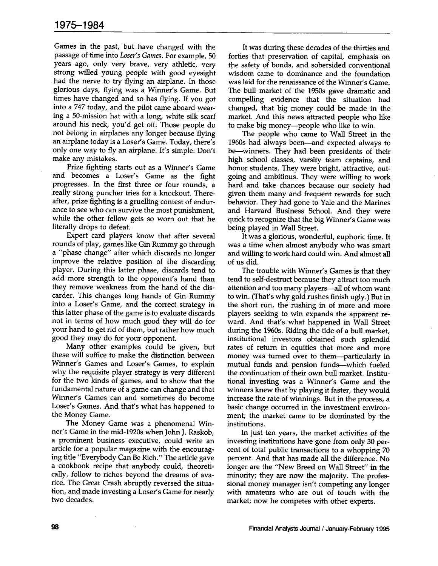Games in the past, but have changed with the passage of time into *Loser's Games.* For example, 50 years ago, only very brave, very athletic, very strong willed young people with good eyesight had the nerve to try flying an airplane. In those glorious days, flying was a Winner's Game. But times have changed and so has flying. If you got into a 747 today, and the pilot came aboard wearing a 50-mission hat with a long, white silk scarf around his neck, you'd get off. Those people do not belong in airplanes any longer because flying an airplane today is a Loser's Game. Today, there's only one way to fly an airplane. It's simple: Don't make any mistakes.

Prize fighting starts out as a Winner's Game and becomes a Loser's Game as the fight progresses. In the first three or four rounds, a really strong puncher tries for a knockout. Thereafter, prize fighting is a gruelling contest of endurance to see who can survive the most punishment, while the other fellow gets so worn out that he literally drops to defeat.

Expert card players know that after several rounds of play, games like Gin Rummy go through a "phase change" after which discards no longer improve the relative position of the discarding player. During this latter phase, discards tend to add more strength to the opponent's hand than they remove weakness from the hand of the discarder. This changes long hands of Gin Rummy into a Loser's Game, and the correct strategy in this latter phase of the game is to evaluate discards not in terms of how much good they will do for your hand to get rid of them, but rather how much good they may do for your opponent.

Many other examples could be given, but these will suffice to make the distinction between Winner's Games and Loser's Games, to explain why the requisite player strategy is very different for the two kinds of games, and to show that the fundamental nature of a game can change and that Winner's Games can and sometimes do become Loser's Games. And that's what has happened to the Money Game.

The Money Game was a phenomenal Winner's Game in the mid-1920s when John J. Raskob, a prominent business executive, could write an article for a popular magazine with the encouraging title "Everybody Can Be Rich." The article gave a cookbook recipe that anybody could, theoretically, follow to riches beyond the dreams of avarice. The Great Crash abruptly reversed the situation, and made investing a Loser's Game for nearly two decades.

It was during these decades of the thirties and forties that preservation of capital, emphasis on the safety of bonds, and sobersided conventional wisdom came to dominance and the foundation was laid for the renaissance of the Winner's Game. The bull market of the 1950s gave dramatic and compelling evidence that the situation had changed, that big money could be made in the market. And this news attracted people who like to make big money—people who like to win.

The people who came to Wall Street in the 1960s had always been--and expected always to be-winners. They had been presidents of their high school classes, varsity team captains, and honor students. They were bright, attractive, outgoing and ambitious. They were willing to work hard and take chances because our society had given them many and frequent rewards for such behavior. They had gone to Yale and the Marines and Harvard Business School. And they were quick to recognize that the big Winner's Game was being played in Wall Street.

It was a glorious, wonderful, euphoric time. It was a time when almost anybody who was smart and willing to work hard could win. And almost all of us did.

The trouble with Winner's Games is that they tend to self-destruct because they attract too much attention and too many players--- all of whom want to win. (That's why gold rushes finish ugly.) But in the short run, the rushing in of more and more players seeking to win expands the apparent reward. And that's what happened in Wall Street during the 1960s. Riding the tide of a bull market, institutional investors obtained such splendid rates of return in equities that more and more money was turned over to them—particularly in mutual funds and pension funds--which fueled the continuation of their own bull market. Institutional investing was a Winner's Game and the winners knew that by playing it faster, they would increase the rate of winnings. But in the process, a basic change occurred in the investment environment; the market came to be dominated by the institutions.

In just ten years, the market activities of the investing institutions have gone from only 30 percent of total public transactions to a whopping 70 percent. And that has made all the difference. No longer are the "New Breed on Wall Street" in the minority; they are now the majority. The professional money manager isn't competing any longer with amateurs who are out of touch with the market; now he competes with other experts.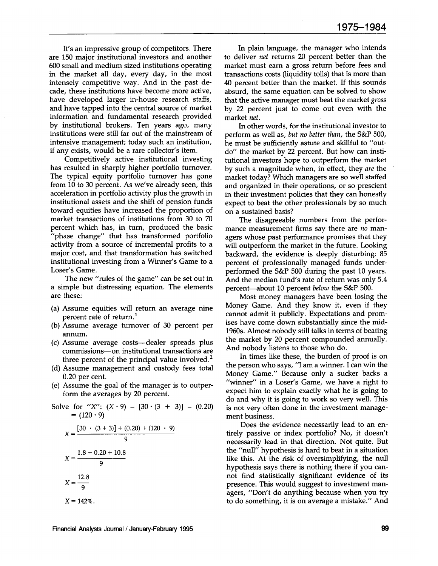It's an impressive group of competitors. There are 150 major institutional investors and another 600 small and medium sized institutions operating in the market all day, every day, in the most intensely competitive way. And in the past decade, these institutions have become more active, have developed larger in-house research staffs, and have tapped into the central source of market information and fundamental research provided by institutional brokers. Ten years ago, many institutions were still far out of the mainstream of intensive management; today such an institution, if any exists, would be a rare collector's item.

Competitively active institutional investing has resulted in sharply higher portfolio turnover. The typical equity portfolio turnover has gone from 10 to 30 percent. As we've already seen, this acceleration in portfolio activity plus the growth in institutional assets and the shift of pension funds toward equities have increased the proportion of market transactions of institutions from 30 to 70 percent which has, in turn, produced the basic "phase change" that has transformed portfolio activity from a source of incremental profits to a major cost, and that transformation has switched institutional investing from a Winner's Game to a Loser's Game.

The new "rules of the game" can be set out in a simple but distressing equation. The elements are these:

- (a) Assume equities will return an average nine percent rate of return.<sup>1</sup>
- (b) Assume average turnover of 30 percent per annum.
- (c) Assume average costs—dealer spreads plus commissions---on institutional transactions are three percent of the principal value involved.<sup>2</sup>
- (d) Assume management and custody fees total 0.20 per cent.
- (e) Assume the goal of the manager is to outperform the averages by 20 percent.

Solve for "X": 
$$
(X \cdot 9) - [30 \cdot (3 + 3)] - (0.20)
$$
  
\n
$$
= (120 \cdot 9)
$$
\n
$$
X = \frac{[30 \cdot (3 + 3)] + (0.20) + (120 \cdot 9)}{9}
$$
\n
$$
X = \frac{1.8 + 0.20 + 10.8}{9}
$$
\n
$$
X = \frac{12.8}{9}
$$
\n
$$
X = 142\%
$$

In plain language, the manager who intends to deliver *net* returns 20 percent better than the market must earn a gross return before fees and transactions costs (liquidity tolls) that is more than 40 percent better than the market. If this sounds absurd, the same equation can be solved to show that the active manager must beat the market *gross*  by 22 percent just to come out even with the market *net.* 

In other words, for the institutional investor to perform as well as, *but no better than,* the S&P 500, he must be sufficiently astute and skillful to "outdo" the market by 22 percent. But how can institutional investors hope to outperform the market by such a magnitude when, in effect, they *are* the market today? Which managers are so well staffed and organized in their operations, or so prescient in their investment policies that they can honestly expect to beat the other professionals by so much on a sustained basis?

The disagreeable numbers from the performance measurement firms say there are *no* managers whose past performance promises that they will outperform the market in the future. Looking backward, the evidence is deeply disturbing: 85 percent of professionally managed funds underperformed the S&P 500 during the past 10 years. And the median fund's rate of return was only 5.4 percent--about 10 percent *below* the S&P 500.

Most money managers have been losing the Money Game. And they know it, even if they cannot admit it publicly. Expectations and promises have come down substantially since the mid-1960s. Almost nobody still talks in terms of beating the market by 20 percent compounded annually. And nobody listens to those who do.

In times like these, the burden of proof is on the person who says, "I am a winner. I can win the Money Game." Because only a sucker backs a "winner" in a Loser's Game, we have a right to expect him to explain exactly what he is going to do and why it is going to work so very well. This is not very often done in the investment management business.

Does the evidence necessarily lead to an entirely passive or index portfolio? No, it doesn't necessarily lead in that direction. Not quite. But the "null" hypothesis is hard to beat in a situation like this. At the risk of oversimplifying, the null hypothesis says there is nothing there if you cannot find statistically significant evidence of its presence. This would suggest to investment managers, "Don't do anything because when you try to do something, it is on average a mistake." And